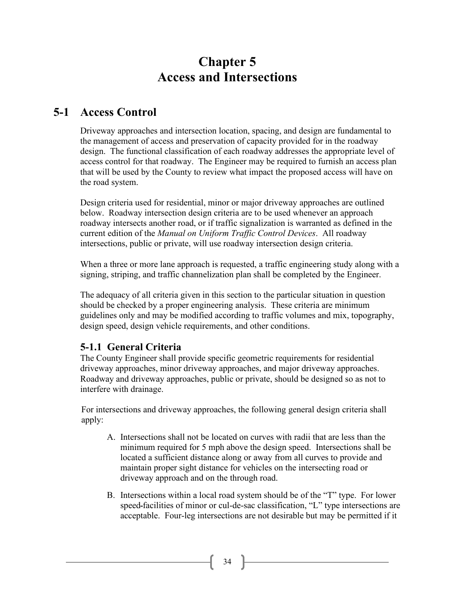# **Chapter 5 Access and Intersections**

# **5-1 Access Control**

Driveway approaches and intersection location, spacing, and design are fundamental to the management of access and preservation of capacity provided for in the roadway design. The functional classification of each roadway addresses the appropriate level of access control for that roadway. The Engineer may be required to furnish an access plan that will be used by the County to review what impact the proposed access will have on the road system.

Design criteria used for residential, minor or major driveway approaches are outlined below. Roadway intersection design criteria are to be used whenever an approach roadway intersects another road, or if traffic signalization is warranted as defined in the current edition of the *Manual on Uniform Traffic Control Devices*. All roadway intersections, public or private, will use roadway intersection design criteria.

When a three or more lane approach is requested, a traffic engineering study along with a signing, striping, and traffic channelization plan shall be completed by the Engineer.

The adequacy of all criteria given in this section to the particular situation in question should be checked by a proper engineering analysis. These criteria are minimum guidelines only and may be modified according to traffic volumes and mix, topography, design speed, design vehicle requirements, and other conditions.

# **5-1.1 General Criteria**

The County Engineer shall provide specific geometric requirements for residential driveway approaches, minor driveway approaches, and major driveway approaches. Roadway and driveway approaches, public or private, should be designed so as not to interfere with drainage.

For intersections and driveway approaches, the following general design criteria shall apply:

- A. Intersections shall not be located on curves with radii that are less than the minimum required for 5 mph above the design speed. Intersections shall be located a sufficient distance along or away from all curves to provide and maintain proper sight distance for vehicles on the intersecting road or driveway approach and on the through road.
- B. Intersections within a local road system should be of the "T" type. For lower speed facilities of minor or cul-de-sac classification, "L" type intersections are acceptable. Four-leg intersections are not desirable but may be permitted if it

 $34$  ]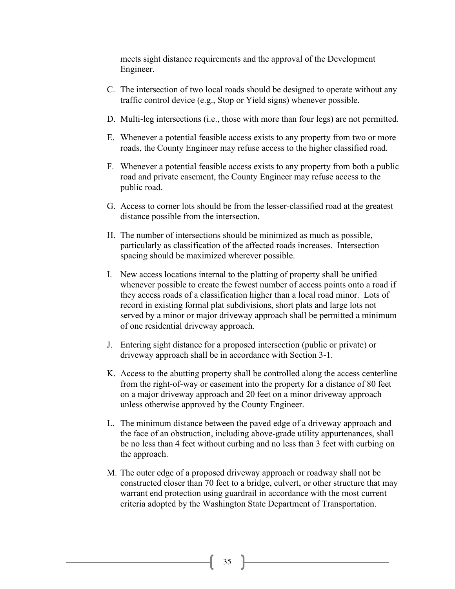meets sight distance requirements and the approval of the Development Engineer.

- C. The intersection of two local roads should be designed to operate without any traffic control device (e.g., Stop or Yield signs) whenever possible.
- D. Multi-leg intersections (i.e., those with more than four legs) are not permitted.
- E. Whenever a potential feasible access exists to any property from two or more roads, the County Engineer may refuse access to the higher classified road.
- F. Whenever a potential feasible access exists to any property from both a public road and private easement, the County Engineer may refuse access to the public road.
- G. Access to corner lots should be from the lesser-classified road at the greatest distance possible from the intersection.
- H. The number of intersections should be minimized as much as possible, particularly as classification of the affected roads increases. Intersection spacing should be maximized wherever possible.
- I. New access locations internal to the platting of property shall be unified whenever possible to create the fewest number of access points onto a road if they access roads of a classification higher than a local road minor. Lots of record in existing formal plat subdivisions, short plats and large lots not served by a minor or major driveway approach shall be permitted a minimum of one residential driveway approach.
- J. Entering sight distance for a proposed intersection (public or private) or driveway approach shall be in accordance with Section 3-1.
- K. Access to the abutting property shall be controlled along the access centerline from the right-of-way or easement into the property for a distance of 80 feet on a major driveway approach and 20 feet on a minor driveway approach unless otherwise approved by the County Engineer.
- L. The minimum distance between the paved edge of a driveway approach and the face of an obstruction, including above-grade utility appurtenances, shall be no less than 4 feet without curbing and no less than 3 feet with curbing on the approach.
- M. The outer edge of a proposed driveway approach or roadway shall not be constructed closer than 70 feet to a bridge, culvert, or other structure that may warrant end protection using guardrail in accordance with the most current criteria adopted by the Washington State Department of Transportation.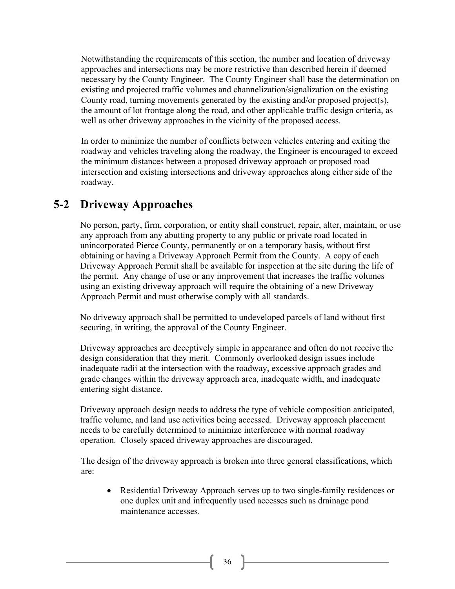Notwithstanding the requirements of this section, the number and location of driveway approaches and intersections may be more restrictive than described herein if deemed necessary by the County Engineer. The County Engineer shall base the determination on existing and projected traffic volumes and channelization/signalization on the existing County road, turning movements generated by the existing and/or proposed project(s), the amount of lot frontage along the road, and other applicable traffic design criteria, as well as other driveway approaches in the vicinity of the proposed access.

In order to minimize the number of conflicts between vehicles entering and exiting the roadway and vehicles traveling along the roadway, the Engineer is encouraged to exceed the minimum distances between a proposed driveway approach or proposed road intersection and existing intersections and driveway approaches along either side of the roadway.

# **5-2 Driveway Approaches**

No person, party, firm, corporation, or entity shall construct, repair, alter, maintain, or use any approach from any abutting property to any public or private road located in unincorporated Pierce County, permanently or on a temporary basis, without first obtaining or having a Driveway Approach Permit from the County. A copy of each Driveway Approach Permit shall be available for inspection at the site during the life of the permit. Any change of use or any improvement that increases the traffic volumes using an existing driveway approach will require the obtaining of a new Driveway Approach Permit and must otherwise comply with all standards.

No driveway approach shall be permitted to undeveloped parcels of land without first securing, in writing, the approval of the County Engineer.

Driveway approaches are deceptively simple in appearance and often do not receive the design consideration that they merit. Commonly overlooked design issues include inadequate radii at the intersection with the roadway, excessive approach grades and grade changes within the driveway approach area, inadequate width, and inadequate entering sight distance.

Driveway approach design needs to address the type of vehicle composition anticipated, traffic volume, and land use activities being accessed.Driveway approach placement needs to be carefully determined to minimize interference with normal roadway operation. Closely spaced driveway approaches are discouraged.

The design of the driveway approach is broken into three general classifications, which are:

• Residential Driveway Approach serves up to two single-family residences or one duplex unit and infrequently used accesses such as drainage pond maintenance accesses.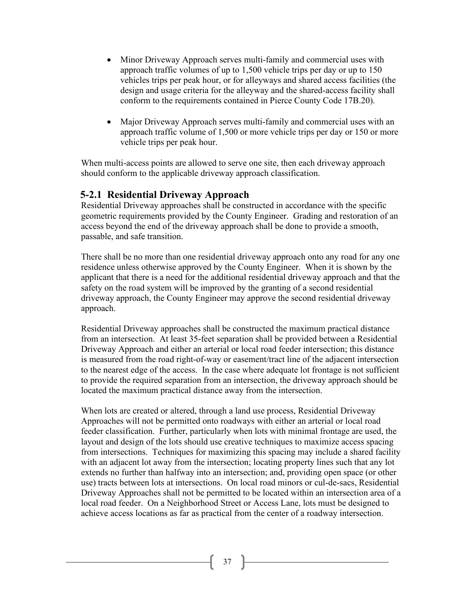- Minor Driveway Approach serves multi-family and commercial uses with approach traffic volumes of up to 1,500 vehicle trips per day or up to 150 vehicles trips per peak hour, or for alleyways and shared access facilities (the design and usage criteria for the alleyway and the shared-access facility shall conform to the requirements contained in Pierce County Code 17B.20).
- Major Driveway Approach serves multi-family and commercial uses with an approach traffic volume of 1,500 or more vehicle trips per day or 150 or more vehicle trips per peak hour.

When multi-access points are allowed to serve one site, then each driveway approach should conform to the applicable driveway approach classification.

#### **5-2.1 Residential Driveway Approach**

Residential Driveway approaches shall be constructed in accordance with the specific geometric requirements provided by the County Engineer. Grading and restoration of an access beyond the end of the driveway approach shall be done to provide a smooth, passable, and safe transition.

There shall be no more than one residential driveway approach onto any road for any one residence unless otherwise approved by the County Engineer. When it is shown by the applicant that there is a need for the additional residential driveway approach and that the safety on the road system will be improved by the granting of a second residential driveway approach, the County Engineer may approve the second residential driveway approach.

Residential Driveway approaches shall be constructed the maximum practical distance from an intersection. At least 35-feet separation shall be provided between a Residential Driveway Approach and either an arterial or local road feeder intersection; this distance is measured from the road right-of-way or easement/tract line of the adjacent intersection to the nearest edge of the access. In the case where adequate lot frontage is not sufficient to provide the required separation from an intersection, the driveway approach should be located the maximum practical distance away from the intersection.

When lots are created or altered, through a land use process, Residential Driveway Approaches will not be permitted onto roadways with either an arterial or local road feeder classification. Further, particularly when lots with minimal frontage are used, the layout and design of the lots should use creative techniques to maximize access spacing from intersections. Techniques for maximizing this spacing may include a shared facility with an adjacent lot away from the intersection; locating property lines such that any lot extends no further than halfway into an intersection; and, providing open space (or other use) tracts between lots at intersections. On local road minors or cul-de-sacs, Residential Driveway Approaches shall not be permitted to be located within an intersection area of a local road feeder. On a Neighborhood Street or Access Lane, lots must be designed to achieve access locations as far as practical from the center of a roadway intersection.

37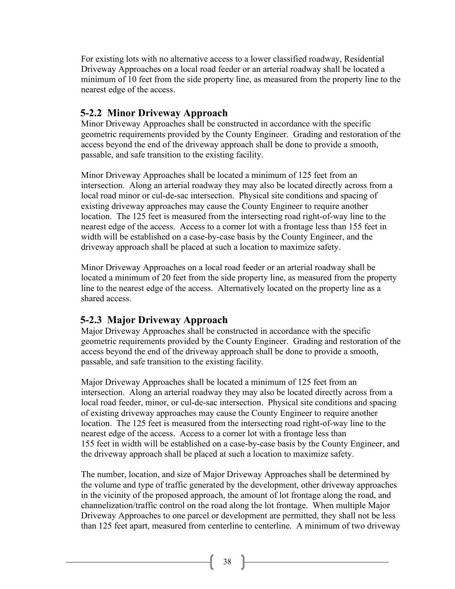For existing lots with no alternative access to a lower classified roadway, Residential Driveway Approaches on a local road feeder or an arterial roadway shall be located a minimum of 10 feet from the side property line, as measured from the property line to the nearest edge of the access.

### **5-2.2 Minor Driveway Approach**

Minor Driveway Approaches shall be constructed in accordance with the specific geometric requirements provided by the County Engineer. Grading and restoration of the access beyond the end of the driveway approach shall be done to provide a smooth, passable, and safe transition to the existing facility.

Minor Driveway Approaches shall be located a minimum of 125 feet from an intersection. Along an arterial roadway they may also be located directly across from a local road minor or cul-de-sac intersection. Physical site conditions and spacing of existing driveway approaches may cause the County Engineer to require another location. The 125 feet is measured from the intersecting road right-of-way line to the nearest edge of the access. Access to a corner lot with a frontage less than 155 feet in width will be established on a case-by-case basis by the County Engineer, and the driveway approach shall be placed at such a location to maximize safety.

Minor Driveway Approaches on a local road feeder or an arterial roadway shall be located a minimum of 20 feet from the side property line, as measured from the property line to the nearest edge of the access. Alternatively located on the property line as a shared access.

# **5-2.3 Major Driveway Approach**

Major Driveway Approaches shall be constructed in accordance with the specific geometric requirements provided by the County Engineer. Grading and restoration of the access beyond the end of the driveway approach shall be done to provide a smooth, passable, and safe transition to the existing facility.

Major Driveway Approaches shall be located a minimum of 125 feet from an intersection. Along an arterial roadway they may also be located directly across from a local road feeder, minor, or cul-de-sac intersection. Physical site conditions and spacing of existing driveway approaches may cause the County Engineer to require another location. The 125 feet is measured from the intersecting road right-of-way line to the nearest edge of the access. Access to a corner lot with a frontage less than 155 feet in width will be established on a case-by-case basis by the County Engineer, and the driveway approach shall be placed at such a location to maximize safety.

The number, location, and size of Major Driveway Approaches shall be determined by the volume and type of traffic generated by the development, other driveway approaches in the vicinity of the proposed approach, the amount of lot frontage along the road, and channelization/traffic control on the road along the lot frontage. When multiple Major Driveway Approaches to one parcel or development are permitted, they shall not be less than 125 feet apart, measured from centerline to centerline. A minimum of two driveway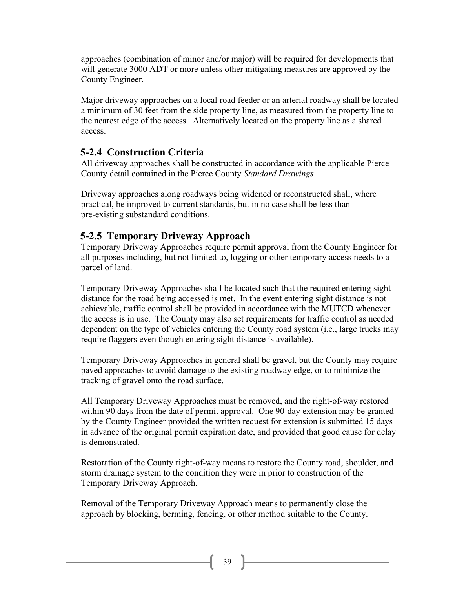approaches (combination of minor and/or major) will be required for developments that will generate 3000 ADT or more unless other mitigating measures are approved by the County Engineer.

Major driveway approaches on a local road feeder or an arterial roadway shall be located a minimum of 30 feet from the side property line, as measured from the property line to the nearest edge of the access. Alternatively located on the property line as a shared access.

# **5-2.4 Construction Criteria**

All driveway approaches shall be constructed in accordance with the applicable Pierce County detail contained in the Pierce County *Standard Drawings*.

Driveway approaches along roadways being widened or reconstructed shall, where practical, be improved to current standards, but in no case shall be less than pre-existing substandard conditions.

# **5-2.5 Temporary Driveway Approach**

Temporary Driveway Approaches require permit approval from the County Engineer for all purposes including, but not limited to, logging or other temporary access needs to a parcel of land.

Temporary Driveway Approaches shall be located such that the required entering sight distance for the road being accessed is met. In the event entering sight distance is not achievable, traffic control shall be provided in accordance with the MUTCD whenever the access is in use. The County may also set requirements for traffic control as needed dependent on the type of vehicles entering the County road system (i.e., large trucks may require flaggers even though entering sight distance is available).

Temporary Driveway Approaches in general shall be gravel, but the County may require paved approaches to avoid damage to the existing roadway edge, or to minimize the tracking of gravel onto the road surface.

All Temporary Driveway Approaches must be removed, and the right-of-way restored within 90 days from the date of permit approval. One 90-day extension may be granted by the County Engineer provided the written request for extension is submitted 15 days in advance of the original permit expiration date, and provided that good cause for delay is demonstrated.

Restoration of the County right-of-way means to restore the County road, shoulder, and storm drainage system to the condition they were in prior to construction of the Temporary Driveway Approach.

Removal of the Temporary Driveway Approach means to permanently close the approach by blocking, berming, fencing, or other method suitable to the County.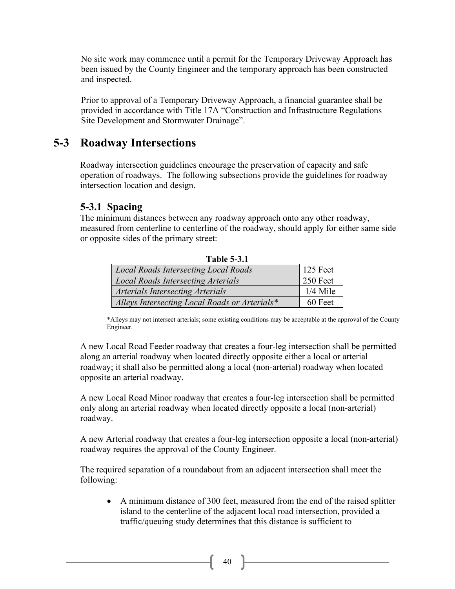No site work may commence until a permit for the Temporary Driveway Approach has been issued by the County Engineer and the temporary approach has been constructed and inspected.

Prior to approval of a Temporary Driveway Approach, a financial guarantee shall be provided in accordance with Title 17A "Construction and Infrastructure Regulations – Site Development and Stormwater Drainage".

# **5-3 Roadway Intersections**

Roadway intersection guidelines encourage the preservation of capacity and safe operation of roadways. The following subsections provide the guidelines for roadway intersection location and design.

#### **5-3.1 Spacing**

The minimum distances between any roadway approach onto any other roadway, measured from centerline to centerline of the roadway, should apply for either same side or opposite sides of the primary street:

|  | Local Roads Intersecting Local Roads          | $125$ Feet       |
|--|-----------------------------------------------|------------------|
|  | <b>Local Roads Intersecting Arterials</b>     | $\vert$ 250 Feet |
|  | Arterials Intersecting Arterials              | $1/4$ Mile       |
|  | Alleys Intersecting Local Roads or Arterials* | 60 Feet          |

**Table 5-3.1**

\*Alleys may not intersect arterials; some existing conditions may be acceptable at the approval of the County Engineer.

A new Local Road Feeder roadway that creates a four-leg intersection shall be permitted along an arterial roadway when located directly opposite either a local or arterial roadway; it shall also be permitted along a local (non-arterial) roadway when located opposite an arterial roadway.

A new Local Road Minor roadway that creates a four-leg intersection shall be permitted only along an arterial roadway when located directly opposite a local (non-arterial) roadway.

A new Arterial roadway that creates a four-leg intersection opposite a local (non-arterial) roadway requires the approval of the County Engineer.

The required separation of a roundabout from an adjacent intersection shall meet the following:

• A minimum distance of 300 feet, measured from the end of the raised splitter island to the centerline of the adjacent local road intersection, provided a traffic/queuing study determines that this distance is sufficient to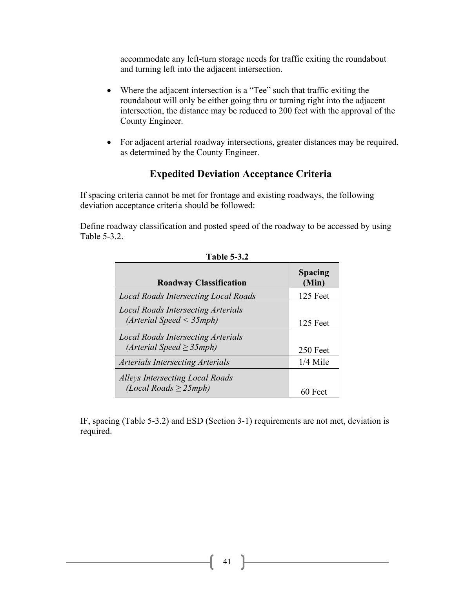accommodate any left-turn storage needs for traffic exiting the roundabout and turning left into the adjacent intersection.

- Where the adjacent intersection is a "Tee" such that traffic exiting the roundabout will only be either going thru or turning right into the adjacent intersection, the distance may be reduced to 200 feet with the approval of the County Engineer.
- For adjacent arterial roadway intersections, greater distances may be required, as determined by the County Engineer.

#### **Expedited Deviation Acceptance Criteria**

If spacing criteria cannot be met for frontage and existing roadways, the following deviation acceptance criteria should be followed:

Define roadway classification and posted speed of the roadway to be accessed by using Table 5-3.2.

| <b>Roadway Classification</b>                                               | <b>Spacing</b><br>(Min) |
|-----------------------------------------------------------------------------|-------------------------|
| <b>Local Roads Intersecting Local Roads</b>                                 | 125 Feet                |
| <b>Local Roads Intersecting Arterials</b><br>(Arterial Speed < 35 mph)      | 125 Feet                |
| <b>Local Roads Intersecting Arterials</b><br>$(Arterial Speed \geq 35 mph)$ | 250 Feet                |
| <b>Arterials Intersecting Arterials</b>                                     | $1/4$ Mile              |
| <b>Alleys Intersecting Local Roads</b><br>(Local Roads $\geq$ 25mph)        | 60 Feet                 |

**Table 5-3.2**

IF, spacing (Table 5-3.2) and ESD (Section 3-1) requirements are not met, deviation is required.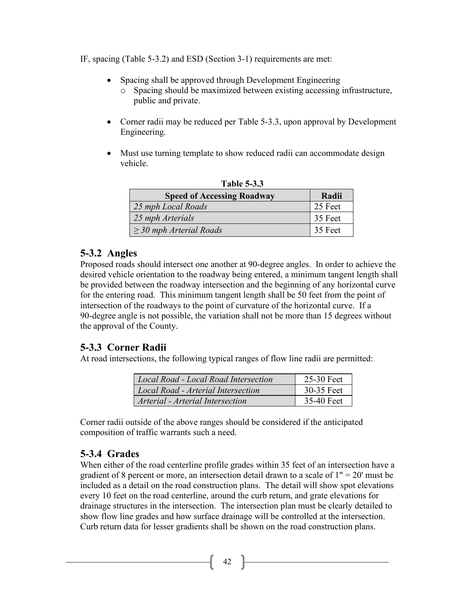IF, spacing (Table 5-3.2) and ESD (Section 3-1) requirements are met:

- Spacing shall be approved through Development Engineering
	- o Spacing should be maximized between existing accessing infrastructure, public and private.
- Corner radii may be reduced per Table 5-3.3, upon approval by Development Engineering.
- Must use turning template to show reduced radii can accommodate design vehicle.

| .                                 |         |  |
|-----------------------------------|---------|--|
| <b>Speed of Accessing Roadway</b> | Radii   |  |
| 25 mph Local Roads                | 25 Feet |  |
| 25 mph Arterials                  | 35 Feet |  |
| $\geq$ 30 mph Arterial Roads      | 35 Feet |  |

**Table 5-3.3**

#### **5-3.2 Angles**

Proposed roads should intersect one another at 90-degree angles. In order to achieve the desired vehicle orientation to the roadway being entered, a minimum tangent length shall be provided between the roadway intersection and the beginning of any horizontal curve for the entering road. This minimum tangent length shall be 50 feet from the point of intersection of the roadways to the point of curvature of the horizontal curve. If a 90-degree angle is not possible, the variation shall not be more than 15 degrees without the approval of the County.

# **5-3.3 Corner Radii**

At road intersections, the following typical ranges of flow line radii are permitted:

| Local Road - Local Road Intersection | 25-30 Feet |
|--------------------------------------|------------|
| Local Road - Arterial Intersection   | 30-35 Feet |
| Arterial - Arterial Intersection     | 35-40 Feet |

Corner radii outside of the above ranges should be considered if the anticipated composition of traffic warrants such a need.

# **5-3.4 Grades**

When either of the road centerline profile grades within 35 feet of an intersection have a gradient of 8 percent or more, an intersection detail drawn to a scale of  $1" = 20"$  must be included as a detail on the road construction plans. The detail will show spot elevations every 10 feet on the road centerline, around the curb return, and grate elevations for drainage structures in the intersection. The intersection plan must be clearly detailed to show flow line grades and how surface drainage will be controlled at the intersection. Curb return data for lesser gradients shall be shown on the road construction plans.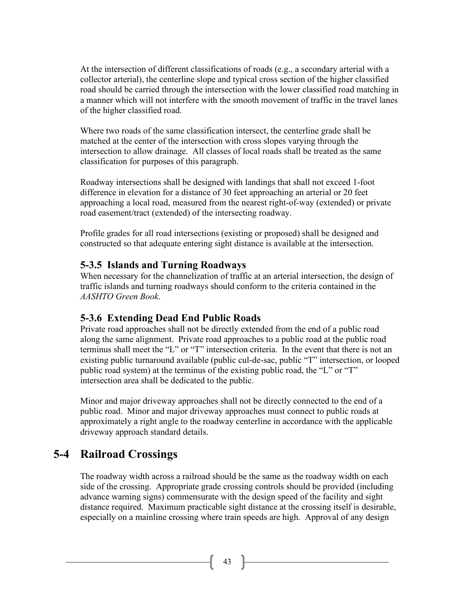At the intersection of different classifications of roads (e.g., a secondary arterial with a collector arterial), the centerline slope and typical cross section of the higher classified road should be carried through the intersection with the lower classified road matching in a manner which will not interfere with the smooth movement of traffic in the travel lanes of the higher classified road.

Where two roads of the same classification intersect, the centerline grade shall be matched at the center of the intersection with cross slopes varying through the intersection to allow drainage. All classes of local roads shall be treated as the same classification for purposes of this paragraph.

Roadway intersections shall be designed with landings that shall not exceed 1-foot difference in elevation for a distance of 30 feet approaching an arterial or 20 feet approaching a local road, measured from the nearest right-of-way (extended) or private road easement/tract (extended) of the intersecting roadway.

Profile grades for all road intersections (existing or proposed) shall be designed and constructed so that adequate entering sight distance is available at the intersection.

# **5-3.5 Islands and Turning Roadways**

When necessary for the channelization of traffic at an arterial intersection, the design of traffic islands and turning roadways should conform to the criteria contained in the *AASHTO Green Book*.

# **5-3.6 Extending Dead End Public Roads**

Private road approaches shall not be directly extended from the end of a public road along the same alignment. Private road approaches to a public road at the public road terminus shall meet the "L" or "T" intersection criteria. In the event that there is not an existing public turnaround available (public cul-de-sac, public "T" intersection, or looped public road system) at the terminus of the existing public road, the "L" or "T" intersection area shall be dedicated to the public.

Minor and major driveway approaches shall not be directly connected to the end of a public road. Minor and major driveway approaches must connect to public roads at approximately a right angle to the roadway centerline in accordance with the applicable driveway approach standard details.

# **5-4 Railroad Crossings**

The roadway width across a railroad should be the same as the roadway width on each side of the crossing. Appropriate grade crossing controls should be provided (including advance warning signs) commensurate with the design speed of the facility and sight distance required. Maximum practicable sight distance at the crossing itself is desirable, especially on a mainline crossing where train speeds are high. Approval of any design